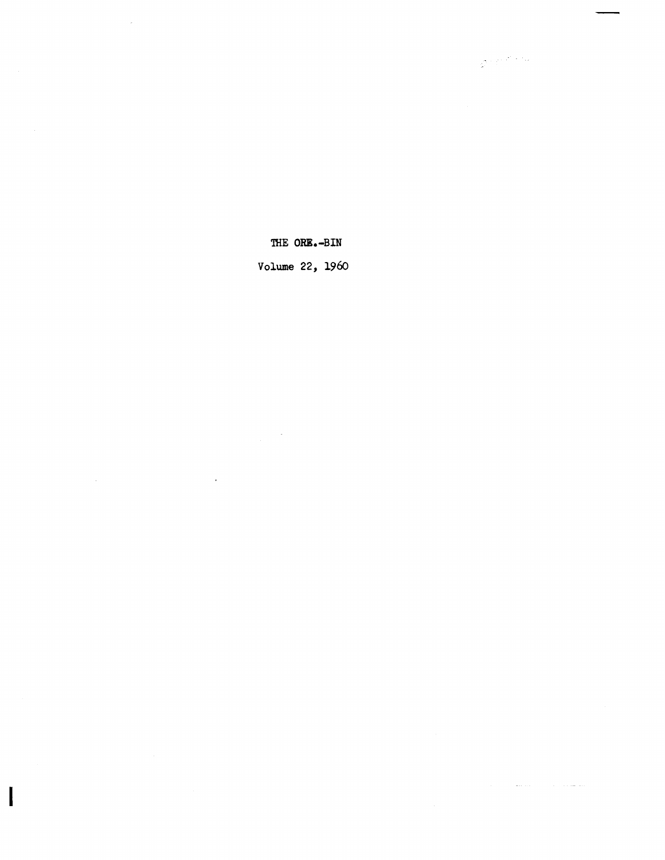THE ORE.-BIN

 $\mathcal{Q}^{(1)}\mathcal{C}^{(2)}\mathcal{C}^{(1)}$ 

 $\mathcal{L}_{\text{max}}$  . The  $\mathcal{L}_{\text{max}}$ 

 $\mathcal{A}$ 

 $\sim$ 

Volume 22, 1960

 $\sim 10$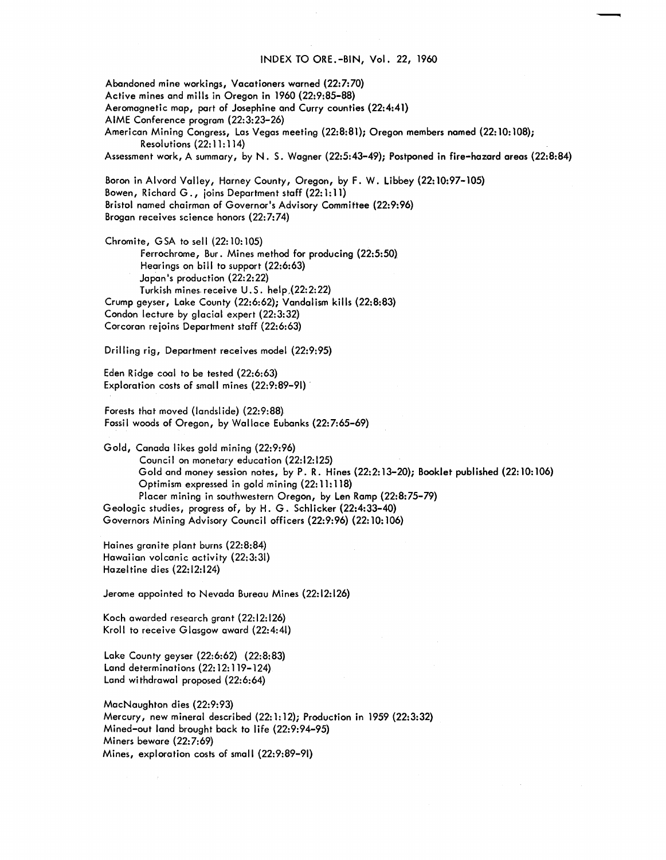#### INDEX TO ORE.-BIN, Vol. 22, 1960

-

Abandoned mine workings, Vacationers warned (22:7:70) Active mines and mills in Oregon in 1960 (22:9:85-88) Aeromagnetic map, part of Josephine and Curry counties (22:4:41) AIME Conference program (22:3:23-26) American Mining Congress, Las Vegas meeting (22:8:81); Oregon members named (22: 10: 108); Resolutions (22: 11: 114) Assessment work, A summary, by N. S. Wagner (22:5:43-49); Postponed in fire-hazard areas (22:8:84) Boron in Alvord Valley, Harney County, Oregon, by F. W. Libbey (22: 10:97-105) Bowen, Richard G., joins Department staff (22: 1: 11) Bristol named chairman of Governor's Advisory Committee (22:9:96) Brogan receives science honors (22:7:74) Chromite, GSA to sell (22: 10: 105) Ferrochrome, Bur. Mines method for producing (22:5:50) Hearings on bill to support (22:6:63) Japan's production (22:2:22) Turkish mines. receive U. S. help,(22:2:22} Crump geyser, Lake County (22:6:62); Vandal ism kills (22:8:83) Condon lecture by glacial expert (22:3:32) Corcoran rejoins Department staff (22:6:63) Drilling rig, Department receives model (22:9:95) Eden Ridge coal to be tested (22:6:63) Exploration costs of small mines (22:9:89-91). Forests that moved (landslide) (22:9:88) Fossil woods of Oregon, by Wallace Eubanks (22:7:65-69) Gold, Canada likes gold mining (22:9:96) Council on monetary education (22:12:125) Gold and money session notes, by P. R. Hines (22:2: 13-20); Booklet published (22: 10: 106) Optimism expressed in gold mining (22: 11: 118) Placer mining in southwestern Oregon, by Len Ramp (22:8:75-79) Geologic studies, progress of, by H. G. Schlicker (22:4:33-40)

Governors Mining Advisory Council officers (22:9:96) (22:10:106)

Haines granite plant burns (22:8:84) Hawaiian volcanic activity {22:3:31} Hazeltine dies (22:12:124)

Jerome appointed to Nevada Bureau Mines (22:12:126)

Koch awarded research grant (22: 12:126) Kroll to receive Glasgow award (22:4:41)

Lake County geyser (22:6:62) (22:8:83) Land determinations (22: 12: 119-124) Land withdrawal proposed (22:6:64)

MacNaughton dies (22:9:93) Mercury, new mineral described (22:1:12); Production in 1959 (22:3:32) Mined-out land brought back to life (22:9:94-95) Miners beware (22:7:69) Mines, exploration costs of small (22:9:89-91)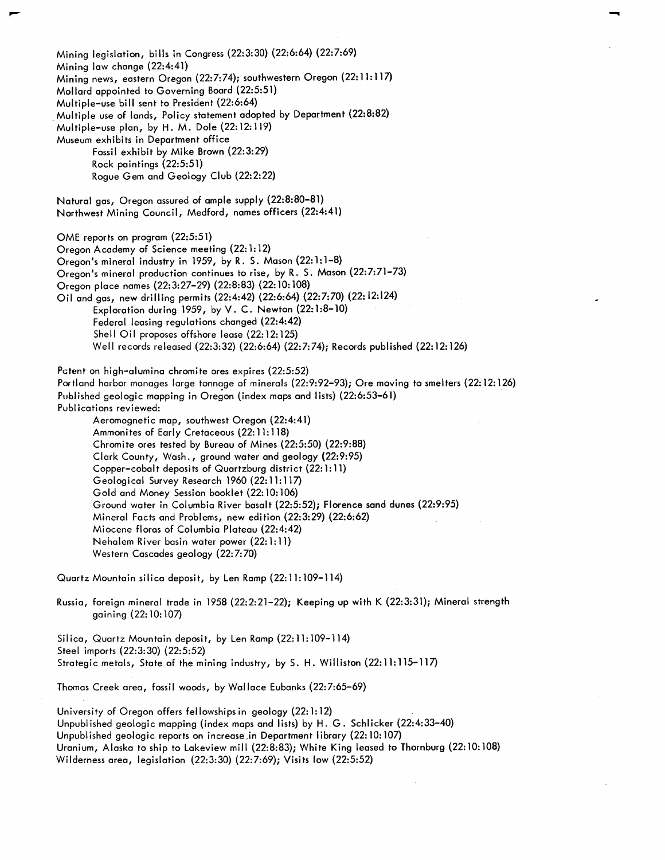Mining legislation, bills in Congress (22:3:30) (22:6:64) (22:7:69) Mining law change (22:4:41) Mining news, eastern Oregon (22:7:74); southwestern Oregon (22: 11: 117) Mollard appointed to Governing Board (22:5:51) Multiple-use bill sent to President (22:6:64) . Multiple use of lands, Policy statement adopted by Department (22:8:82) Multiple-use plan, by H. M. Dole (22: 12: 119) Museum exhibits in Department office Fossil exhibit by Mike Brown (22:3:29) Rock paintings (22:5:51) Rogue Gem and Geology Club (22:2:22) Natural gas, Oregon assured of ample supply (22:8:80-81) Northwest Mining Council, Medford, names officers (22:4:41) OME reports on program (22:5:51) Oregon Academy of Science meeting (22: 1: 12) Oregon's mineral industry in 1959, by R. S. Mason (22:1:1-8) Oregon's mineral production continues to rise, by R. S. Mason (22:7:71-73) Oregon place names (22:3:27-29) (22:8:83) (22: 10: 108) Oil and gas, new drilling permits (22:4:42) (22:6:64) (22:7:70) (22: 12:124) Exploration during 1959, by V. C. Newton (22:1:8-10) Federal leasing regulations changed (22:4:42) Shell Oil proposes offshore lease (22: 12: 125) Well records released (22:3:32) (22:6:64) (22:7:74); Records published (22: 12: 126) Patent on high-alumina chromite ores expires (22:5:52) Portland harbor manages large tonnage of minerals (22:9:92-93); Ore moving to smelters (22: 12: 126) Published geologic mapping in Oregon (index maps and lists) (22:6:53-61) Publications reviewed: Aeromagnetic map, southwest Oregon (22:4:41) Ammonites of Early Cretaceous (22: 11: 118) Chromite ores tested by Bureau of Mines (22:5:50) (22:9:88) Clark County, Wash., ground water and geology (22:9:95) Copper-cobalt deposits of Quartzburg district (22: 1: 11) Geological Survey Research 1960 (22:11:117) Gold and Money Session booklet (22: 10: 106) Ground water in Columbia River basalt (22:5:52); Florence sand dunes (22:9:95) Mineral Facts and Problems, new edition (22:3:29) (22:6:62) Miocene floras of Columbia Plateau (22:4:42) Nehalem River basin water power (22: 1: 11) Western Cascades geology (22:7:70)

--.

Quartz Mountain silica deposit, by Len Ramp (22:11:109-114)

Russia, foreign mineral trade in 1958 (22:2:21-22); Keeping up with K (22:3:31); Mineral strength gaining (22: 10: 107)

Silica, Quartz Mountain deposit, by Len Ramp (22: 11: 109-114) Steel imports (22:3:30) (22:5:52) Strategic metals, State of the mining industry, by S. H. Williston (22:11:115-117)

Thomas Creek area, fossil woods, by Wallace Eubanks (22:7:65-69)

University of Oregon offers fellowships in geology (22:1:12) Unpubl ished geologic mapping (index maps and lists) by H. G. Schlicker (22:4:33-40) Unpublished geologic reports on increase.in Department library (22:10:107) Uranium, Alaska to ship to Lakeview mill (22:8:83); White King leased to Thornburg (22: 10: 108) Wilderness area, legislation (22:3:30) (22:7:69); Visits low (22:5:52)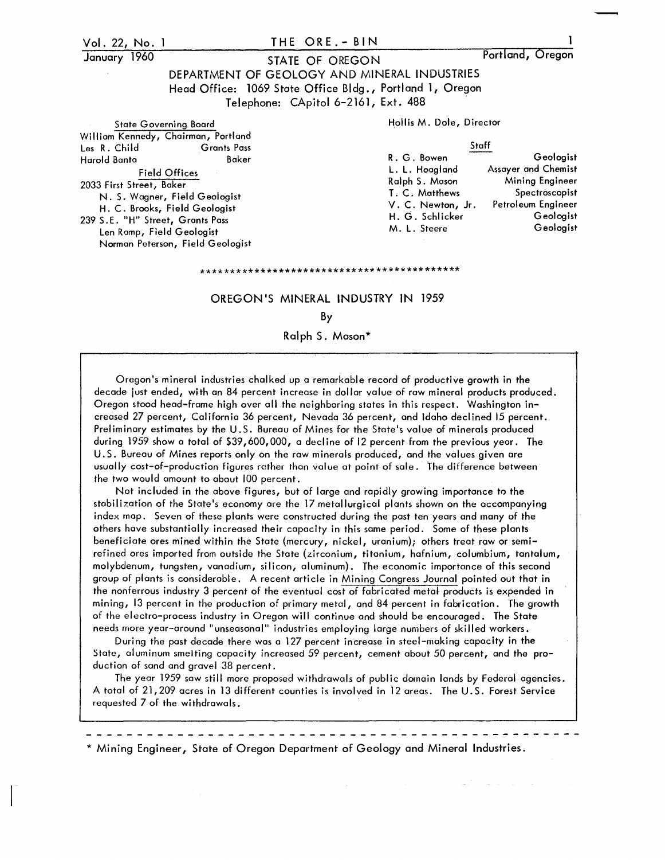#### Vol. 22, No. January 1960 THE ORE.- BIN STATE OF OREGON DEPARTMENT OF GEOLOGY AND MINERAL INDUSTRIES Head Office: 1069 State Office Bldg., Portland 1, Oregon Telephone: CApitol 6-2161, Ext. 488 Portland, Oregon State Governing Board **Hollis M. Dole, Director** William Kennedy, Chairman, Portland<br>Les R. Child Grants Pass Les R. Child Grants Pass Staff Harold Banta Baker Field Offices 2033 First Street, Baker R. G. Bowen L. L. Hoagland Ralph S. Mason Geologist Assayer and Chemist Mining Engineer

H. C. Brooks, Field Geologist 239 S.E. "H" Street, Grants Pass Len Ramp, Field Geologist Norman Peterson, Field Geologist

N. S. Wagner, Field Geologist

# OREGON'S MINERAL INDUSTRY IN 1959

\*\*\*\*\*\*\*\*\*\*\*\*\*\*\*\*\*\*\*\*\*\*\*\*\*\*\*\*\*\*\*\*\*\*\*\*\*\*\*\*\*\*\*

T. C. Matthews V. C. Newton, Jr. H. G. Schlicker M. L. Steere

Spectroscopist Petroleum Engineer

> Geologist Geologist

### By

Ralph S. Mason\*

Oregon's mineral industries chalked up a remarkable record of productive growth in the decade just ended, with an 84 percent increase in dollar value of raw mineral products produced. Oregon stood head-frame high over all the neighboring states in this respect. Washington increased 27 percent, California 36 percent, Nevada 36 percent, and Idaho declined 15 percent. Preliminary estimates by the U.S. Bureau of Mines for the State's value of minerals produced during 1959 show a total of \$39,600,000, a decline of 12 percent from the previous year. The U. S. Bureau of Mines reports only on the raw minerals produced, and the values given are usually cost-of-production figures rather than value at point of sale. The difference between the two would amount to about 100 percent.

Not included in the above figures, but of large and rapidly growing importance to the stabilization of the State's economy are the 17 metallurgical plants shown on the accompanying index map. Seven of these plants were constructed during the past ten years and many of the others have substantially increased their capacity in this same period. Some of these plants beneficiate ores mined within the State (mercury, nickel, uranium); others treat raw or semirefined ores imported from outside the State (zirconium, titanium, hafnium, columbium, tantalum, molybdenum, tungsten, vanadium, silicon, aluminum). The economic importance of this second group of plants is considerable. A recent article in Mining Congress Journal painted out that in the nonferrous industry 3 percent of the eventual cost of fabricated metal products is expended in mining, 13 percent in the production of primary metal, and 84 percent in fabrication. The growth of the electro-process industry in Oregon will continue and should be encouraged. The State needs more year-around "unseasonal" industries employing large numbers of skilled workers.

During the past decade there was a 127 percent increase in steel-making capacity in the State, aluminum smelting capacity increased 59 percent, cement about 50 percent, and the production of sand and gravel 38 percent.

The year 1959 saw still more proposed withdrawals of public domain lands by Federal agencies. A total of 21,209 acres in 13 different counties is involved in 12 areas. The U.S. Forest Service requested 7 of the withdrawals.

\* Mining Engineer, State of Oregon Department of Geology and Mineral Industries.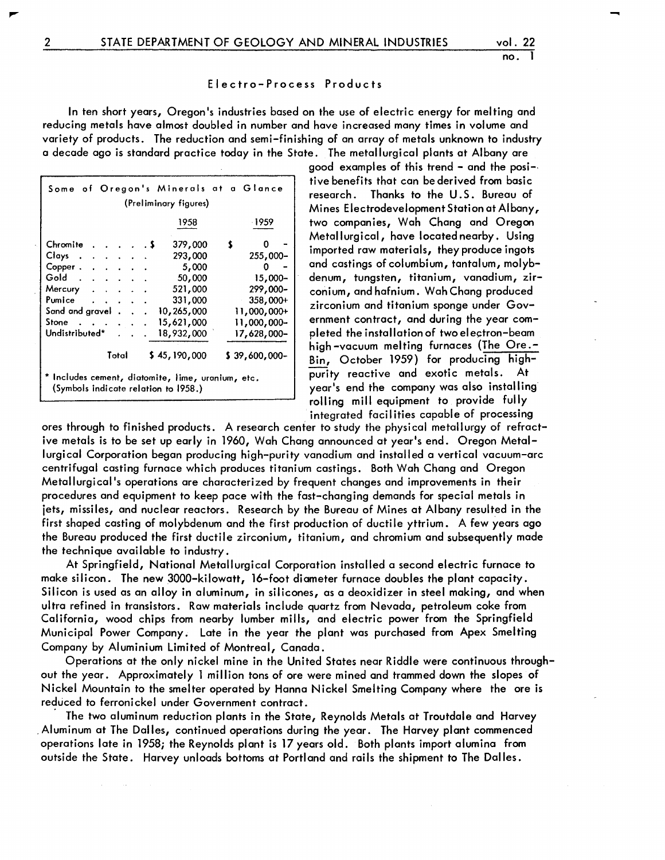-

#### Electro-Process Products

In ten short years, Oregon's industries based on the use of electric energy for melting and reducing metals have almost doubled in number and have increased many times in volume and variety of products. The reduction and semi-finishing of an array of metals unknown to industry a decade ago is standard practice today in the State. The metallurgical plants at Albany are

| Some of Oregon's Minerals at a Glance<br>(Preliminary figures)                            |  |  |              |                |  |               |  |  |
|-------------------------------------------------------------------------------------------|--|--|--------------|----------------|--|---------------|--|--|
| -1959<br>1958                                                                             |  |  |              |                |  |               |  |  |
| Chromite                                                                                  |  |  | . 5          | 379,000        |  |               |  |  |
| Clays.<br>the contract of the contract of                                                 |  |  |              | 293,000        |  | $255,000 -$   |  |  |
| $Copper \cdot \cdot \cdot \cdot \cdot \cdot$                                              |  |  |              | 5,000          |  | 0             |  |  |
| Gold.                                                                                     |  |  |              | 50,000         |  | $15,000 -$    |  |  |
| Mercury<br><b>Contractor</b>                                                              |  |  |              | 521,000        |  | 299,000-      |  |  |
| Pumice<br>$\cdot$ $\cdot$ $\cdot$                                                         |  |  |              | 331,000        |  | $358,000+$    |  |  |
| Sand and gravel.                                                                          |  |  |              | 10,265,000     |  | $11,000,000+$ |  |  |
| Stone                                                                                     |  |  |              | 15,621,000     |  | 11,000,000-   |  |  |
| Undistributed*                                                                            |  |  |              | 18,932,000     |  | 17,628,000-   |  |  |
| Total                                                                                     |  |  | \$45,190,000 | $$39,600,000-$ |  |               |  |  |
| * Includes cement, diatomite, lime, uranium, etc.<br>(Symbols indicate relation to 1958.) |  |  |              |                |  |               |  |  |

good examples of this trend - and the posi-. tive benefits that can be derived from basic research. Thanks to the U. S. Bureau of Mines Electrodevelopment Station at Albany, two companies, Wah Chang and Oregon Metallurgical, have located nearby. Using imported raw materials, they produce ingots and castings of columbium, tantalum, molybdenum, tungsten, titanium, vanadium, zirconium, and hafnium. Wah Chang produced zirconium and titanium sponge under Government contract, and during the year completed the installation of two electron-beam high-vacuum melting furnaces (The Ore.-Bin, October 1959) for producing highpurity reactive and exotic metals. At year's end the company was also installingrolling mill equipment to provide fully integrated facilities capable of processing

ores through to finished products. A research center to study the physical metallurgy of refractive metals is to be set up early in 1960, Wah Chang announced at year's end. Oregon Metallurgical Corporation began producing high-purity vanadium and installed a vertical vacuum-arc centrifugal casting furnace which produces titanium castings. Both Wah Chang and Oregon Metallurgical's operations are characterized by frequent changes and improvements in their procedures and equipment to keep pace with the fast-changing demands for special metals in jets, missiles, and nuclear reactors. Research by the Bureau of Mines at Albany resulted in the first shaped casting of molybdenum and the first production of ductile yttrium. A few years ago the Bureau produced the first ductile zirconium, titanium, and chromium and subsequently made the technique available to industry.

At Springfield, National Metallurgical Corporation installed a second electric furnace to make silicon. The new 3000-kilowatt, 16-foot diameter furnace doubles the plant capacity. Silicon is used as an alloy in aluminum, in silicones, as a deoxidizer in steel making, and when ultra refined in transistors. Raw materials include quartz from Nevada, petroleum coke from California, wood chips from nearby lumber mills, and electric power from the Springfield Municipal Power Company. Late in the year the plant was purchased from Apex Smelting Company by Aluminium Limited of Montreal, Canada.

Operations at the only nickel mine in the United States near Riddle were continuous throughout the year. Approximately 1 million tons of ore were mined and trammed down the slopes of Nickel Mountain to the smelter operated by Hanna Nickel Smelting Company where the ore is reduced to ferronickel under Government contract.

The two aluminum reduction plants in the State, Reynolds Metals at Troutdale and Harvey . Aluminum at The Dalles, continued operations during the year. The Harvey plant commenced operations late in 1958; the Reynolds plant is 17 years old. Both plants import alumina from outside the State. Harvey unloads bottoms at Portland and rails the shipment to The Dalles.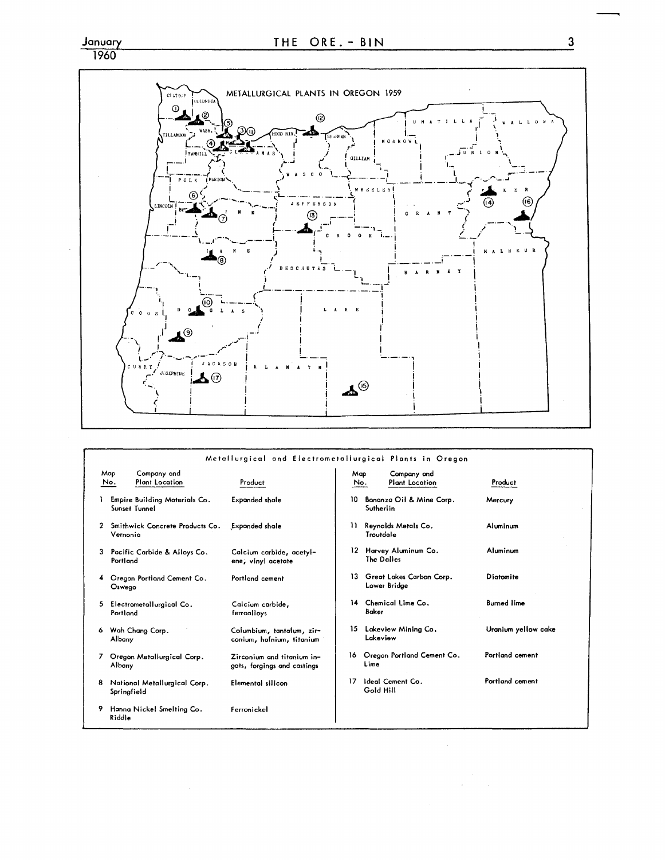# $\frac{\text{January}}{1960}$



|   |                                                    | Metallurgical and Electrometallurgical Plants in Oregon   |            |            |                                          |                     |
|---|----------------------------------------------------|-----------------------------------------------------------|------------|------------|------------------------------------------|---------------------|
|   | Mop<br>Company and<br><b>Plant Location</b><br>No. | Product                                                   | Map<br>No. |            | Company and<br><b>Plant Location</b>     | Product             |
|   | Empire Building Materials Co.<br>Sunset Tunnel     | <b>Expanded shale</b>                                     | 10         | Sutherlin  | Bonanza Oil & Mine Corp.                 | Mercury             |
| 2 | Smithwick Concrete Products Co.<br>Vernonia        | <b>Expanded shale</b>                                     | n          | Troutdale  | Reynolds Metals Co.                      | Aluminum            |
| 3 | Pacific Carbide & Alloys Co.<br>Portland           | Calcium carbide, acetyl-<br>ene, vinyl acetate            |            | The Dalles | 12 Harvey Aluminum Co.                   | Aluminum            |
| 4 | Oregon Portland Cement Co.<br>Oswego               | Portland cement                                           | 13.        |            | Great Lakes Carbon Corp.<br>Lower Bridge | Diotomite           |
| 5 | Electrometallurgical Co.<br>Portland               | Calcium carbide.<br>ferroalloys                           |            | Baker      | 14 Chemical Lime Co.                     | <b>Burned lime</b>  |
| 6 | Wah Chang Corp.<br><b>Albany</b>                   | Columbium, tantalum, zir-<br>conium, hafnium, titanium    | 15         | Lakeview   | Lakeview Mining Co.                      | Uranium yellow cake |
|   | Oregon Metallurgical Corp.<br>Albany               | Zirconium and titanium in-<br>gots, forgings and castings | 16.        | Lime       | Oregon Portland Cement Co.               | Portland cement     |
| 8 | National Metallurgical Corp.<br>Springfield        | Elemental silicon                                         | 17         | Gold Hill  | Ideal Cement Co.                         | Portland cement     |
| 9 | Hanna Nickel Smelting Co.<br>Riddle                | Ferronickel                                               |            |            |                                          |                     |

 $\overline{3}$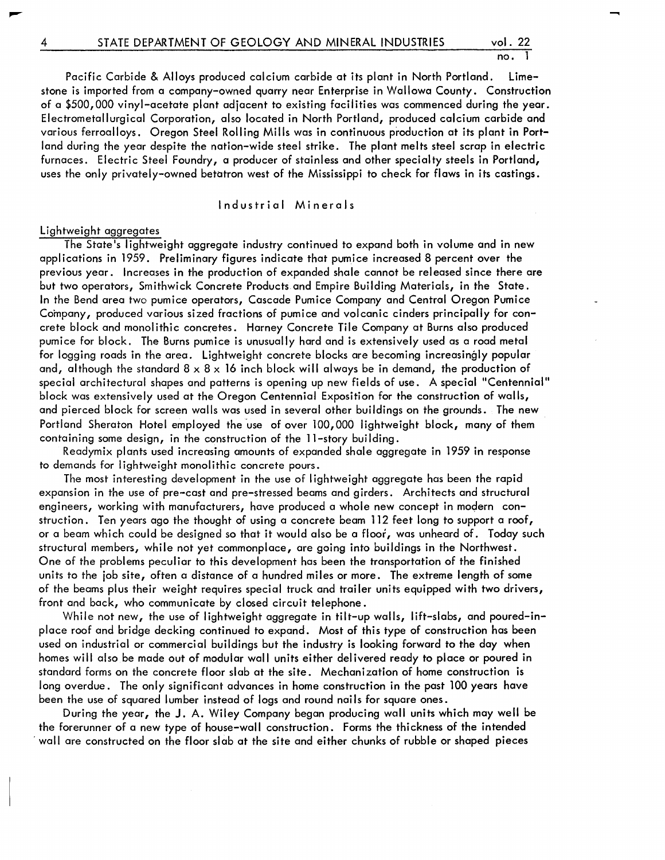–

Pacific Carbide & Alloys produced calcium carbide at its plant in North Portland. Limestone is imported from a company-owned quarry near Enterprise in Wallowa County. Construction of a \$500,000 vinyl-acetate plant adjacent to existing facilities was commenced during the year. Electrometallurgical Corporation, also located in North Portland, produced calcium carbide and various ferroalloys. Oregon Steel Rolling Mills was in continuous production at its plant in Portland during the year despite the nation-wide steel strike. The plant melts steel scrap in electric furnaces. Electric Steel Foundry, a producer of stainless and other specialty steels in Portland, uses the only privately-owned betatron west of the Mississippi to check for flaws in its castings.

Industrial Minerals

#### Lightweight aggregates

The State's lightweight aggregate industry continued to expand both in volume and in new applications in 1959. Preliminary figures indicate that pumice increased 8 percent over the previous year. Increases in the production of expanded shale cannot be rei eased since there are but two operators, Smithwick Concrete Products and Empire Building Materials, in the State. In the Bend area two pumice operators, Cascade Pumice Company and Central Oregon Pumice Company, produced various sized fractions of pumice and volcanic cinders principally for concrete block and monolithic concretes. Harney Concrete Tile Company at Burns also produced pumice for block. The Burns pumice is unusually hard and is extensively used as a road metal for logging roads in the area. Lightweight concrete blocks are becoming increasingly popular and, although the standard  $8 \times 8 \times 16$  inch block will always be in demand, the production of special architectural shapes and patterns is opening up new fields of use. A special "Centennial" block was extensively used at the Oregon Centennial Exposition for the construction of walls, and pierced block for screen walls was used in several other buildings on the grounds. The new Portland Sheraton Hotel employed the use of over 100,000 lightweight block, many of them containing some design, in the construction of the ll-story building.

Readymix plants used increasing amounts of expanded shale aggregate in 1959 in response to demands for lightweight monolithic concrete pours.

The most interesting development in the use of I ightweight aggregate has been the rapid expansion in the use of pre-cast and pre-stressed beams and girders. Architects and structural engineers, working with manufacturers, have produced a whole new concept in modern construction. Ten years ago the thought of using a concrete beam 112 feet long to support a roof, or a beam which could be designed so that it would also be a floor, was unheard of. Today such structural members, while not yet commonplace, are going into buildings in the Northwest. One of the problems peculiar to this development has been the transportation of the finished units to the job site, often a distance of a hundred miles or more. The extreme length of some of the beams plus their weight requires special truck and trailer units equipped with two drivers, front and back, who communicate by closed circuit telephone.

While not new, the use of lightweight aggregate in tilt-up walls, lift-slabs, and poured-inplace roof and bridge decking continued to expand. Most of this type of construction has been used on industrial or commercial buildings but the industry is looking forward to the day when homes will also be made out of modular wall units either delivered ready to place or poured in standard forms on the concrete floor slab at the site. Mechani zation of home construction is long overdue. The only significant advances in home construction in the past 100 years have been the use of squared lumber instead of logs and round nai Is for square ones.

During the year, the J. A. Wiley Company began producing wall units which may well be the forerunner of a new type of house-wall construction. Forms the thickness of the intended . wall are constructed on the floor slab at the site and either chunks of rubble or shaped pieces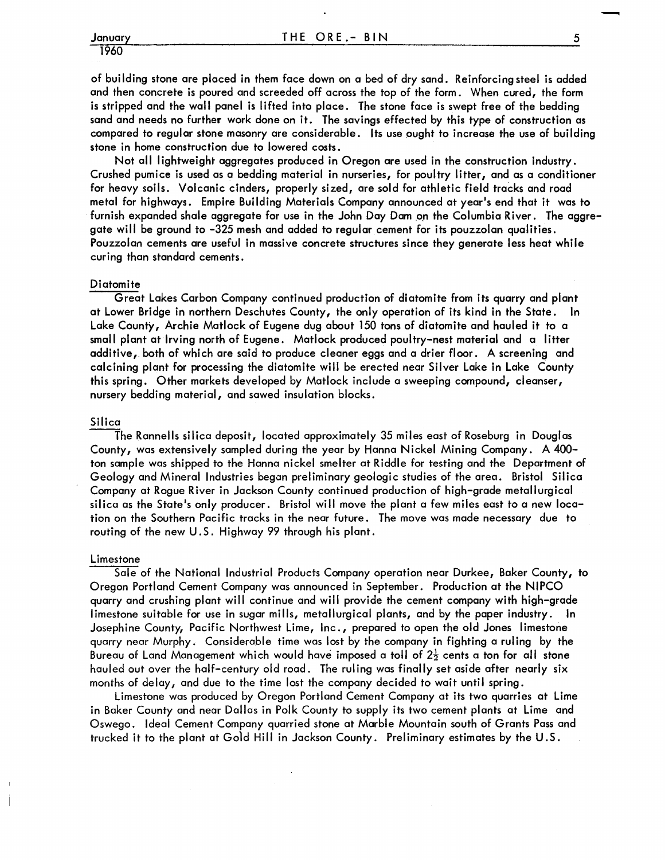## 1960

of building stone are placed in them face down on a bed of dry sand. Reinforcing steel is added and then concrete is poured and screeded off across the top of the form. When cured, the form is stripped and the wall panel is lifted into place. The stone face is swept free of the bedding sand and needs no further work done on it. The savings effected by this type of construction as compared to regular stone masonry are considerable. Its use ought to increase the use of building stone in home construction due to lowered costs.

Not all lightweight aggregates produced in Oregon are used in the construction industry. Crushed pumice is used as a bedding material in nurseries, for poultry litter, and as a conditioner for heavy soils. Volcanic cinders, properly sized, are sold for athletic field tracks and road metal for highways. Empire Building Materials Company announced at year's end that it was to furnish expanded shale aggregate for use in the John Day Dam on the Columbia River. The aggregate will be ground to -325 mesh and added to regular cement for its pouzzolan qualities. Pouzzolan cements are useful in massive concrete structures since they generate less heat while curing than standard cements.

#### **Diatomite**

Great Lakes Carbon Company continued production of diatomite from its quarry and plant at Lower Bridge in northern Deschutes County, the only operation of its kind in the State. In Lake County, Archie Matlock of Eugene dug about 150 tons of diatomite and hauled it to a small plant at Irving north of Eugene. Matlock produced poultry-nest material and a litter additive, both of which are said to produce cleaner eggs and a drier floor. A screening and calcining plant for processing the diatomite will be erected near Silver Lake in Lake County this spring. Other markets developed by Matlock include a sweeping compound, cleanser, nursery bedding material, and sawed insulation blocks.

#### Silica

The Rannells silica deposit, located approximately 35 miles east of Roseburg in Douglas County, was extensively sampled during the year by Hanna Nickel Mining Company. A 400 ton sample was shipped to the Hanna nickel smelter at Riddle for testing and the Department of Geology and Mineral Industries began preliminary geologic studies of the area. Bristol Silica Company at Rogue River in Jackson County continued production of high-grade metallurgical silica as the State's only producer. Bristol will move the plant a few miles east to a new location on the Southern Pacific tracks in the near future. The move was made necessary due to routing of the new U. S. Highway 99 through his plant.

#### Limestone

Sale of the National Industrial Products Company operation near Durkee, Baker County, to Oregon Portland Cement Company was announced in September. Production at the NIPCO quarry and crushing plant will continue and will provide the cement company with high-grade limestone suitable for use in sugar mills, metallurgical plants, and by the paper industry. Josephine County, Pacific Northwest Lime, Inc., prepared to open the old Jones limestone quarry near Murphy. Considerable time was lost by the company in fighting a ruling by the Bureau of Land Management which would have imposed a toll of  $2\frac{1}{2}$  cents a ton for all stone hauled out over the half-century old road. The ruling was finally set aside after nearly six months of delay, and due to the time lost the company decided to wait until spring.

Limestone was produced by Oregon Portland Cement Company at its two quarries at Lime in Baker County and near Dallas in Polk County to supply its two cement plants at Lime and Oswego. Ideal Cement Company quarried stone at Marble Mountain south of Grants Pass and trucked it to the plant at Gold Hill in Jackson County. Preliminary estimates by the U.S.

-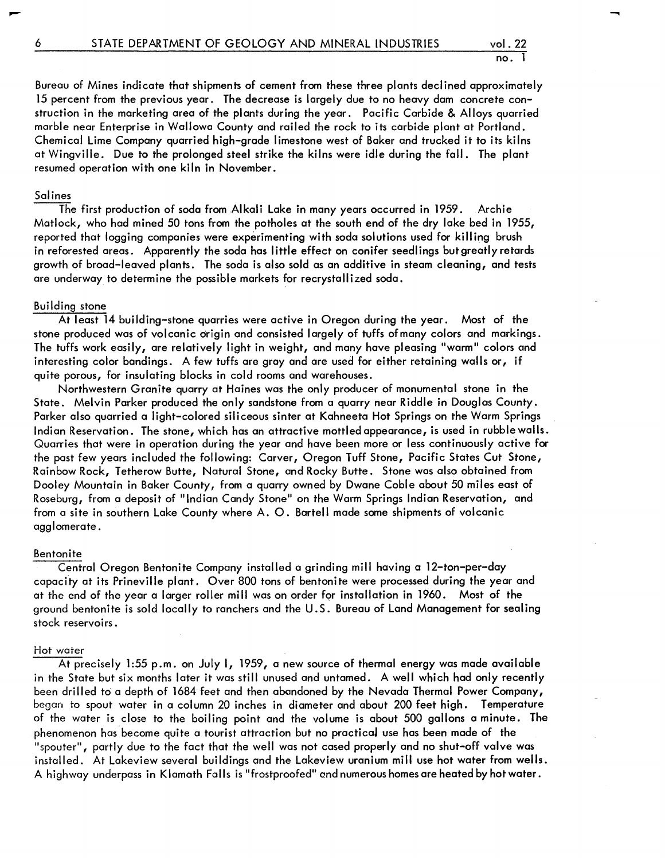–

Bureau of Mines indicate that shipments of cement from these three plants declined approximately 15 percent from the previous year. The decrease is largely due to no heavy dam concrete construction in the marketing area of the plants during the year. Pacific Carbide & Alloys quarried marble near Enterprise in Wallowa County and railed the rock to its carbide plant at Portland. Chemical Lime Company quarried high-grade limestone west of Baker and trucked it to its kilns at Wingville. Due to the prolonged steel strike the kilns were idle during the fall. The plant resumed operation with one kiln in November.

#### Salines

The first production of soda from Alkali Lake in many years occurred in 1959. Archie Matlock, who had mined 50 tons from the potholes at the south end of the dry lake bed in 1955, reported that logging companies were experimenting with soda solutions used for killing brush in reforested areas. Apparently the soda has little effect on conifer seedlings butgreatlyretards growth of broad-leaved plants. The soda is also sold as an additive in steam cleaning, and tests are underway to determine the possible markets for recrystallized soda.

#### Building stone

At least 14 building-stone quarries were active in Oregon during the year. Most of the stone produced was of volcanic origin and consisted largely of tuffs of many colors and markings. The tuffs work easily, are relatively light in weight, and many have pleasing "warm" colors and interesting color bandings. A few tuffs are gray and are used for either retaining walls or, if quite porous, for insulating blocks in cold rooms and warehouses.

Northwestern Granite quarry at Haines was the only producer of monumental stone in the State. Melvin Parker produced the only sandstone from a quarry near Riddle in Douglas County. Parker also quarried a light-colored siliceous sinter at Kahneeta Hot Springs on the Warm Springs Indian Reservation. The stone, which has an attractive mottled appearance, is used in rubble walls. Quarries that were in operation during the year and have been more or less continuously active for the past few years included the following: Carver, Oregon Tuff Stone, Pacific States Cut Stone, Rainbow Rock, Tetherow Butte, Natural Stone, and Rocky Butte. Stone was also obtained from Dooley Mountain in Baker County, from a quarry owned by Dwane Coble about 50 miles east of Roseburg, from a deposit of "Indian Candy Stone" on the Warm Springs Indian Reservation, and from a site in southern Lake County where A. O. Bartell made some shipments of volcanic agglomerate.

#### Bentonite

Central Oregon Bentonite Company installed a grinding mill having a 12-ton-per-day capacity at its Prineville plant. Over 800 tons of bentonite were processed during the year and at the end of the year a larger roller mill was on order for installation in 1960. Most of the ground bentonite is sold locally to ranchers and the U.S. Bureau of Land Management for sealing stock reservoirs.

#### Hot water

At precisely 1:55 p.m. on July I, 1959, a new source of thermal energy was made available in the State but six months later it was still unused and untamed. A well which had only recently been drilled to a depth of 1684 feet and then abandoned by the Nevada Thermal Power Company, began to spout water in a column 20 inches in diameter and about 200 feet high. Temperature of the water is close to the boiling point and the volume is about 500 gallons a minute. The phenomenon has become quite a tourist attraction but no practicaJ use has been made of the "spouter", partly due to the fact that the well was not cased properly and no shut-off valve was installed. At Lakeview several buildings and the Lakeview uranium mill use hot water from wells. A highway underpass in Klamath Falls is "frostproofed" and numerous homes are heated by hot water.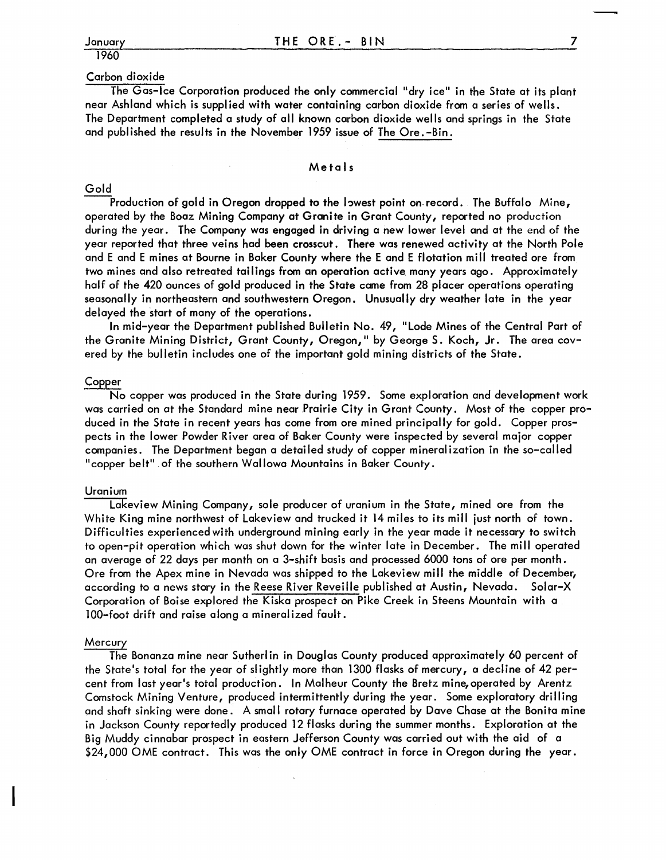### 1960

### Carbon dioxide

The Gas-Ice Corporation produced the only commercial "dry ice" in the State at its plant near Ashland which is supplied with water containing carbon dioxide from a series of wells. The Department completed a study of all known carbon dioxide wells and springs in the State and published the results in the November 1959 issue of The Ore.-Bin.

#### Me ta I s

#### Gold

Production of gold in Oregon dropped to the Iowest point on record. The Buffalo Mine, operated by the Boaz Mining Company at Granite in Grant County, reported no production during the year. The Company was engaged in driving a new lower level and at the end of the year reported that three veins had been crosscut. There was renewed activity at the North Pole and E and E mines at Bourne in Baker County where the E and E flotation mill treated ore from two mines and also retreated tailings from an operation active many years ago. Approximately half of the 420 ounces of gold produced in the State came from 28 placer operations operating seasonally in northeastern and southwestern Oregon. Unusually dry weather late in the year delayed the start of many of the operations.

In mid-year the Department published Bulletin No. 49, "Lode Mines of the Central Part of the Granite Mining District, Grant County, Oregon," by George S. Koch, Jr. The area covered by the bulletin includes one of the important gold mining districts of the State.

#### Copper

No copper was produced in the State during 1959. Some exploration and development work was carried on at the Standard mine near Prairie City in Grant County. Most of the copper produced in the State in recent years has come from ore mined principally for gold. Copper prospects in the lower Powder River area of Baker County were inspected by several major copper companies. The Department began a detailed study of copper mineralization in the so-called "copper belt" of the southern Wallowa Mountains in Baker County.

#### Uranium

Lakeview Mining Company, sole producer of uranium in the State, mined ore from the White King mine northwest of Lakeview and trucked it 14 miles to its mill just north of town. Difficulties experienced with underground mining early in the year made it necessary to switch to open-pit operation which was shut down for the winter late in December. The mill operated an average of 22 days per month on a 3-shift basis and processed 6000 tons of ore per month. Ore from the Apex mine in Nevada was shipped to the Lakeview mill the middle of December, according to a news story in the Reese River Reveille published at Austin, Nevada. Solar-X Corporation of Boise explored the Kiska prospect on Pike Creek in Steens Mountain with a 100-foot drift and raise along a mineral ized fault.

#### Mercury

The Bonanza mine near Sutherlin in Douglas County produced approximately 60 percent of the State's total for the year of slightly more than 1300 flasks of mercury, a decline of 42 percent from last year's total production. In Malheur County the Bretz mine, operated by Arentz Comstock Mining Venture, produced intermittently during the year. Some exploratory drilling and shaft sinking were done. A small rotary furnace operated by Dave Chase at the Bonita mine in Jackson County reportedly produced 12 flasks during the summer months. Exploration at the Big Muddy cinnabar prospect in eastern Jefferson County was carried out with the aid of a \$24,000 OME contract. This was the only OME contract in force in Oregon during the year.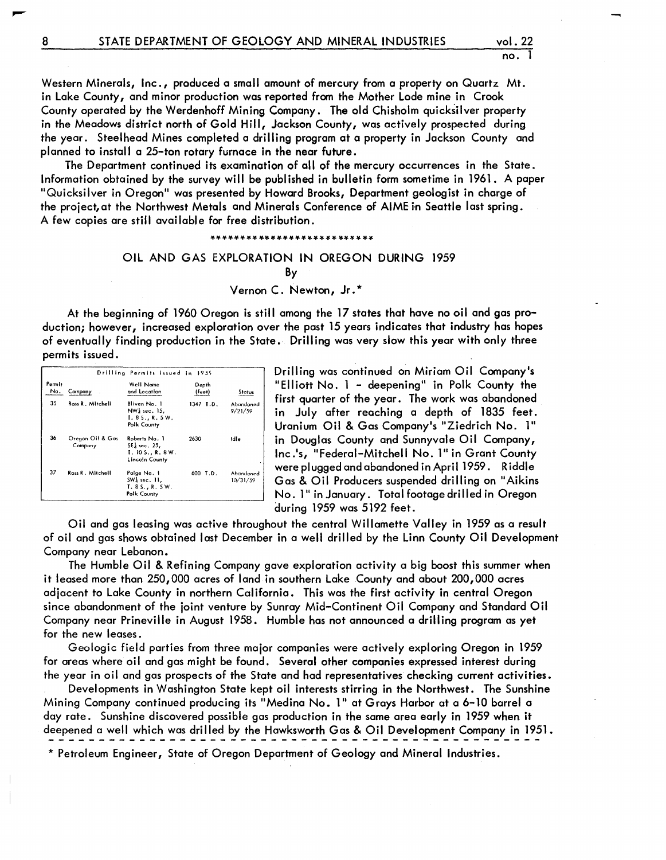Western Minerals, Inc., produced a small amount of mercury from a property on Quartz Mt. in Lake County, and minor production was reported from the Mother Lode mine in Crook County operated by the Werdenhoff Mining Company. The old Chisholm quicksilver property in the Meadows district north of Gold Hill, Jackson County, was actively prospected during the year. Steelhead Mines completed a drilling program at a property in Jackson County and planned to install a 25-ton rotary furnace in the near future.

The Department continued its examination of all of the mercury occurrences in the State. Information obtained by the survey will be published in bulletin form sometime in 1961. A paper "Quicksilver in Oregon" was presented by Howard Brooks, Department geologist in charge of the project, at the Northwest Metals and Minerals Conference of AIME in Seattle last spring. A few copies are still available for free distribution.

#### \*\*\*\*\*\*\*\*\*\*\*\*\*\*\*\*\*\*\*\*\*\*\*\*\*\*\*

### OIL AND GAS EXPLORATION IN OREGON DURING 1959 By

Vernon C. Newton, Jr. \*

At the beginning of 1960 Oregon is still among the 17 states that have no oil and gas production; however, increased exploration over the past 15 years indicates that industry has hopes of eventually finding production in the State. Drilling was very slow this year with only three permits issued.

|               |                             | Drilling Permits Issued in 1959                                                |                 |                       |  |
|---------------|-----------------------------|--------------------------------------------------------------------------------|-----------------|-----------------------|--|
| Permit<br>No. | Company                     | Well Name<br>and Location.                                                     | Depth<br>(feet) | Status                |  |
| 35            | Ross R. Mitchell            | Bliven No. 1<br>$NWd$ sec. 15,<br>T. 8 S., R. 5 W.<br>Polk County              | 1347 T.D.       | Abondoned<br>9/21/59  |  |
| 36            | Oregon Oil & Gas<br>Company | Roberts No. 1<br>$SE_k$ sec. 25.<br><b>T. 10 S., R. 8 W.</b><br>Lincoln County | 2630            | Idle                  |  |
| 37            | Ross R. Mitchell            | Poige No. 1<br>SW <sub>3</sub> sec. 11,<br>T. 85. R. 5W.<br>Polk County        | 600 T.D.        | Abandoned<br>10/31/59 |  |

Drilling was continued on Miriam Oil Company's "Elliott No. 1 - deepening" in Polk County the first quarter of the year. The work was abandoned in July after reaching a depth of 1835 feet. Uranium Oil & Gas Company's "Ziedrich No. 1" in Douglas County and Sunnyvale Oil Company, Inc.'s, "Federal-Mitchell No. 1" in Grant County were plugged and abandoned in April 1959 . Riddle Gas & Oil Producers suspended drilling on "Aikins No. 1" in January. Total footage drilled in Oregon during 1959 was 5192 feet.

Oil and gas leasing was active throughout the central Willamette Valley in 1959 as a result of oil and gas shows obtained last December in a well drilled by the Linn County Oil Development Company near Lebanon.

The Humble Oil & Refining Company gave exploration activity a big boost this summer when it leased more than 250,000 acres of land in southern Lake County and about 200,000 acres adjacent to Lake County in northern California. This was the first activity in central Oregon since abandonment of the joint venture by Sunray Mid-Continent Oil Company and Standard Oil Company near Prineville in August 1958. Humble has not announced a drilling program as yet for the new leases.

Geologic field parties from three major companies were actively exploring Oregon in 1959 for areas where oil and gas might be found. Several other companies expressed interest during the year in oil and gas prospects of the State and had representatives checking current activities.

Developments in Washington State kept oil interests stirring in the Northwest. The Sunshine Mining Company continued producing its "Medina No. 1" at Grays Harbor at a 6-10 barrel a day rate. Sunshine discovered possible gas production in the same area early in 1959 when it deepened a well which was drilled by the Hawksworth Gas & Oil Development Company in 1951.

\* Petroleum Engineer, State of Oregon Department of Geology and Mineral Industries.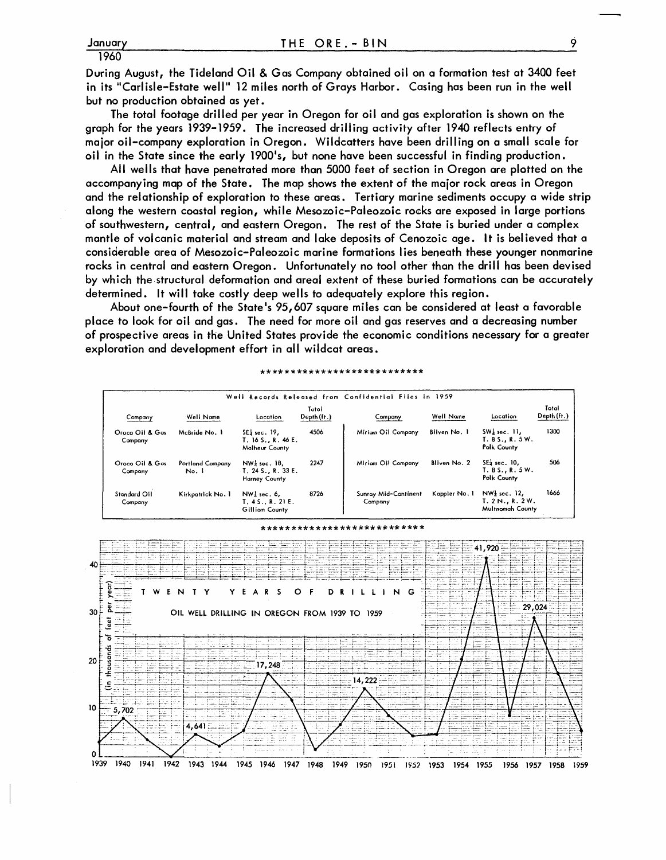**During August, the Tideland Oil & Gas Company obtained oil on a formation test at 3400 feet in its** II Carl isle-Estate **well" 12 miles north of Grays Harbor. Casing has been run in the well**  but no production obtained as yet.

**The total footage drilled per year in Oregon for oil and gas exploration is shown on the graph for the years 1939-1959. The increased dri II ing activity after 1940 reflects entry of major oil-company exploration in Oregon. Wildcatters have been drill ing on a small scale for oil in the State since the early 1900·s, but none have been successful in finding production.** 

**All wells that have penetrated more than 5000 feet of section in Oregon are plotted on the accompanying map of the State. The map shows the extent of the major rock areas in Oregon and the relationship of exploration to these areas. Tertiary marine sediments occupy a wide strip along the western coastal region, while Mesozoic-Paleozoic rocks are exposed in large portions of southwestern, central, and eastern Oregon. The rest of the State is buried under a complex mantle of volcanic material and stream and lake deposits of Cenozoic age. It is believed that a considerable area of Mesozoic-Paleozoic marine formations lies beneath these younger nonmarine rocks in central and eastern Oregon. Unfortunately no tool other than the drill has been devised by which the.structural deformation and areal extent of these buried formations can be accurately determined. It will take costly deep wells to adequately explore this region.** 

**About one-fourth of the State·s 95,607 square miles can be considered at least a favorable place to look for oil and gas. The need for more oil and gas reserves and a decreasing number of prospective areas in the United States provide the economic conditions necessary for a greater exploration and development effort in all wildcat areas.** 

|                            |                                  |                                                                                     |                      | Well Records Released from Confidential Files in 1959 |               |                                                               |                      |
|----------------------------|----------------------------------|-------------------------------------------------------------------------------------|----------------------|-------------------------------------------------------|---------------|---------------------------------------------------------------|----------------------|
| Company                    | Well Name                        | Location                                                                            | Total<br>Depth (ft.) | Company                                               | Well Name     | Location                                                      | Total<br>Depth (ft.) |
| Oroco Oil & Gas<br>Company | McBride No. 1                    | $SE_k$ sec. 19.<br>T. 16 S., R. 46 E.<br><b>Malheur County</b>                      | 4506                 | Miriam Oil Company                                    | Bliven No. 1  | $SWa$ sec. $11,$<br>T.85R.5W.<br>Polk County                  | 1300                 |
| Oroco Oil & Gas<br>Company | <b>Portland Company</b><br>No. I | NW <sub>2</sub> <sup>1</sup> sec. 18,<br>T. 24 S., R. 33 E.<br><b>Harney County</b> | 2247                 | Miriam Oil Company                                    | Bliven No. 2  | $SE2$ sec. 10.<br>T.85., R.5W.<br>Polk County                 | 506                  |
| Standard OII<br>Company    | Kirkpatrick No. 1                | $NW_{d}$ sec. 6,<br>$T. 4S.$ , R. 21 E.<br>Gilliam County                           | 8726                 | Sunray Mid-Continent<br>Company                       | Kappler No. 1 | $NW2$ sec. 12,<br>T. 2 N., R. 2 W.<br><b>Multnomah County</b> | 1666                 |

#### \*\*\*\*\*\*\*\*\*\*\*\*\*\*\*\*\*\*\*\*\*\*\*\*\*\*\*

#### \*\*\*\*\*\*\*\*\*\*\*\*\*\*\*\*\*\*\*\*\*

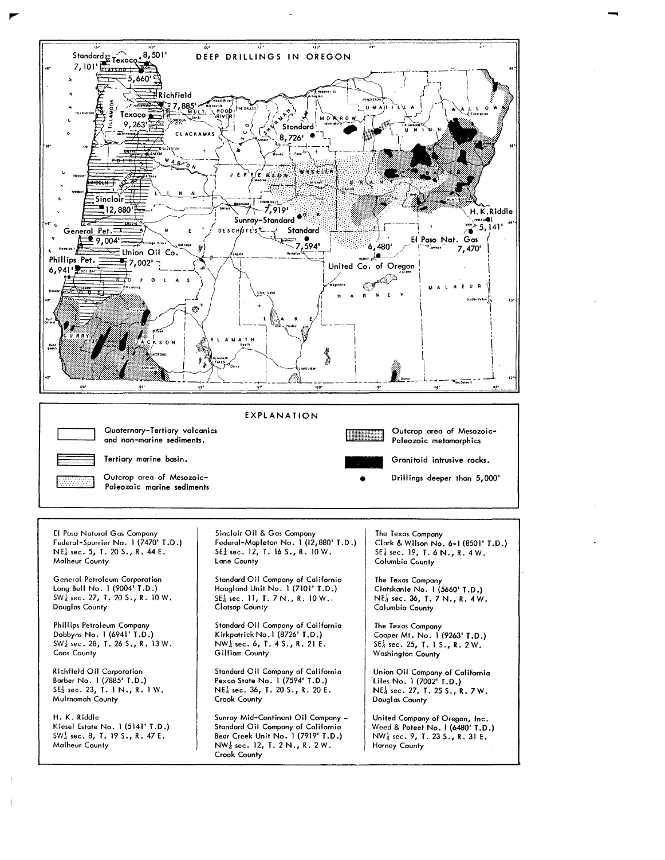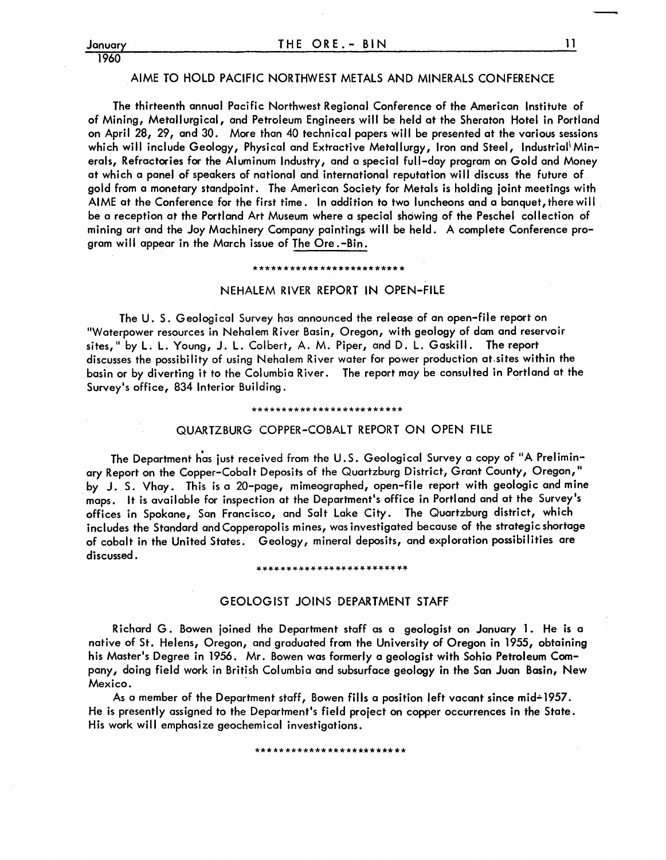## 1960

#### AIME TO HOLD PACIFIC NORTHWEST METALS AND MINERALS CONFERENCE

The thirteenth annual Pacific Northwest Regional Conference of the American Institute of of Mining, Metallurgical, and Petroleum Engineers will be held at the Sheraton Hotel in Portland on April 28, 29, and 30. More than 40 technical papers will be presented at the various sessions which will include Geology, Physical and Extractive Metallurgy, Iron and Steel, Industrial Minerals, Refractories for the Aluminum Industry, and a special full-day program on Gold and *Money*  at which a panel of speakers of national and international reputation will discuss the future of gold from a monetary standpoint. The American Society for Metals is holding joint meetings with AIME at the Conference for the first time. In addition to two luncheons and a banquet, there will . be a reception at the Portland Art Museum where a special showing of the Peschel collection of mining art and the *Joy* Machinery Company paintings wi II be held. A complete Conference program will appear in the March issue of The Ore. -Bin.

#### \*\*\*\*\*\*\*\*\*\*\*\*\*\*\*\*\*\*\*\*\*\*\*\*\*

#### NEHALEM RIVER REPORT IN OPEN-FILE

The U. S. Geological Survey has announced the release of an open-file report on "Waterpower resources in Nehalem River Basin, Oregon, with geology of dam and reservoir sites," by L. L. Young, J. L. Colbert, A. M. Piper, and D. L. Gaskill. The report discusses the possibility of using Nehalem River water for power production at.sites within the basin or by diverting it to the Columbia River. The report *may* be consulted in Portland at the Survey's office, 834 Interior Building.

#### \*\*\*\*\*\*\*\*\*\*\*\*\*\*\*\*\*\*\*\*\*\*\*\*\*

#### QUARTZBURG COPPER-COBALT REPORT ON OPEN FILE

The Department has just received from the U.S. Geological Survey a copy of "A Prelimin*ary* Report on the Copper-Cobalt Deposits of the Quartzburg District, Grant County, Oregon," by J. S. Vhay. This is a 20-page, mimeographed, open-file report with geologic and mine . maps. It is available for inspection at the Department's office in Portland and at the Survey's offices in Spokane, San Francisco, and Salt Lake City. The Quartzburg district, which includes the Standard and Copperopolis mines, was investigated because of the strategic shortage of cobalt in the United States. Geology, mineral deposits, and exploration possibilities are discussed.

#### \*\*\*\*\*\*\*\*\*\*\*\*\*\*\*\*\*\*\*\*\*\*\*\*\*

#### GEOLOGIST JOINS DEPARTMENT STAFF

Richard G. Bowen joined the Department staff as a geologist on January 1. He is a native of St. Helens, Oregon, and graduated from the University of Oregon in 1955, obtaining his Master's Degree in 1956. Mr. Bowen was formerly a geologist with Sohio Petroleum Company, doing field work in British Columbia and subsurface geology in the San Juan Basin, New Mexico.

As a member of the Department staff, Bowen fills a position left vacant since mid-1957. He is presently assigned to the Department's field project on copper occurrences in the State. His work will emphasize geochemical investigations.

\*\*\*\*\*\*\*\*\*\*\*\*\*\*\*\*\*\*\*\*\*\*\*\*\*